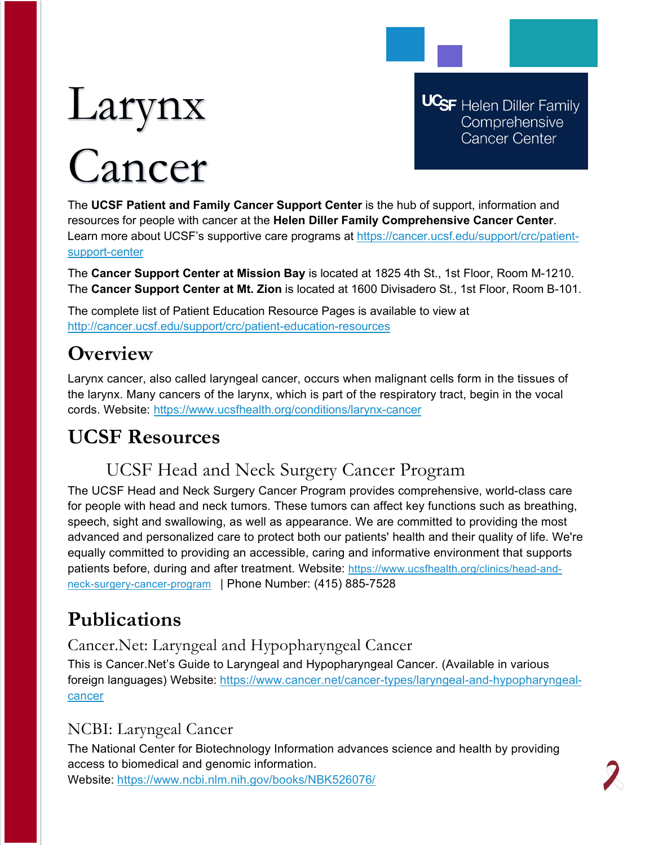# Larynx

## Cancer

**UCSF** Helen Diller Family Comprehensive **Cancer Center** 

The **UCSF Patient and Family Cancer Support Center** is the hub of support, information and resources for people with cancer at the **Helen Diller Family Comprehensive Cancer Center**. Learn more about UCSF's supportive care programs at [https://cancer.ucsf.edu/support/crc/patient](https://cancer.ucsf.edu/support/crc/patient-support-center)[support-center](https://cancer.ucsf.edu/support/crc/patient-support-center)

The **Cancer Support Center at Mission Bay** is located at 1825 4th St., 1st Floor, Room M-1210. The **Cancer Support Center at Mt. Zion** is located at 1600 Divisadero St., 1st Floor, Room B-101.

The complete list of Patient Education Resource Pages is available to view at <http://cancer.ucsf.edu/support/crc/patient-education-resources>

## **Overview**

Larynx cancer, also called laryngeal cancer, occurs when malignant cells form in the tissues of the larynx. Many cancers of the larynx, which is part of the respiratory tract, begin in the vocal cords. Website:<https://www.ucsfhealth.org/conditions/larynx-cancer>

## **UCSF Resources**

### UCSF Head and Neck Surgery Cancer Program

The UCSF Head and Neck Surgery Cancer Program provides comprehensive, world-class care for people with head and neck tumors. These tumors can affect key functions such as breathing, speech, sight and swallowing, as well as appearance. We are committed to providing the most advanced and personalized care to protect both our patients' health and their quality of life. We're equally committed to providing an accessible, caring and informative environment that supports patients before, during and after treatment. Website: [https://www.ucsfhealth.org/clinics/head-and](https://www.ucsfhealth.org/clinics/head-and-neck-surgery-cancer-program)[neck-surgery-cancer-program](https://www.ucsfhealth.org/clinics/head-and-neck-surgery-cancer-program) | Phone Number: (415) 885-7528

## **Publications**

Cancer.Net: Laryngeal and Hypopharyngeal Cancer

This is Cancer.Net's Guide to Laryngeal and Hypopharyngeal Cancer. (Available in various foreign languages) Website: [https://www.cancer.net/cancer-types/laryngeal-and-hypopharyngeal](https://www.cancer.net/cancer-types/laryngeal-and-hypopharyngeal-cancer)[cancer](https://www.cancer.net/cancer-types/laryngeal-and-hypopharyngeal-cancer)

#### NCBI: Laryngeal Cancer

The National Center for Biotechnology Information advances science and health by providing access to biomedical and genomic information.

Website: <https://www.ncbi.nlm.nih.gov/books/NBK526076/>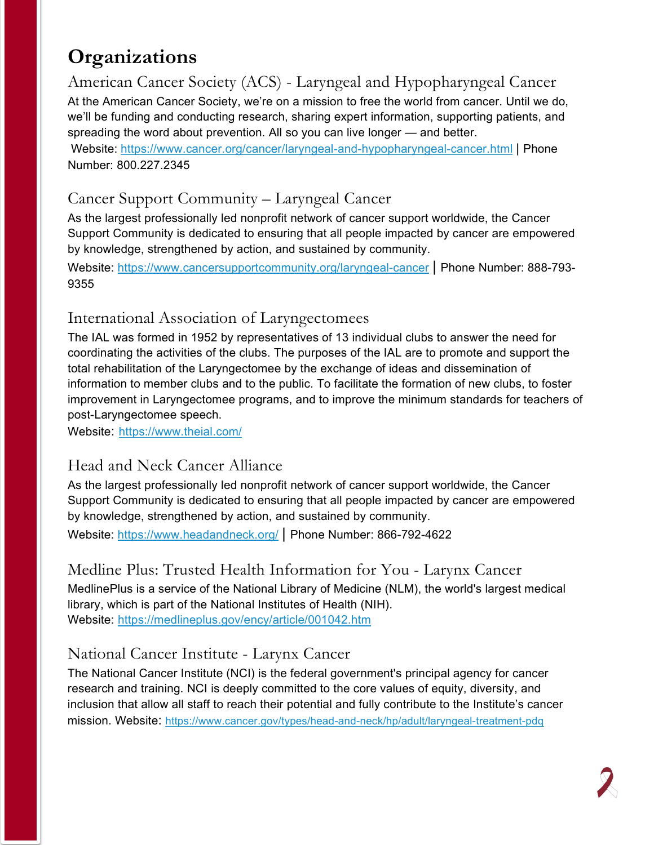## **Organizations**

American Cancer Society (ACS) - Laryngeal and Hypopharyngeal Cancer At the American Cancer Society, we're on a mission to free the world from cancer. Until we do, we'll be funding and conducting research, sharing expert information, supporting patients, and spreading the word about prevention. All so you can live longer — and better.

Website: <https://www.cancer.org/cancer/laryngeal-and-hypopharyngeal-cancer.html> | Phone Number: 800.227.2345

#### Cancer Support Community – Laryngeal Cancer

As the largest professionally led nonprofit network of cancer support worldwide, the Cancer Support Community is dedicated to ensuring that all people impacted by cancer are empowered by knowledge, strengthened by action, and sustained by community.

Website:<https://www.cancersupportcommunity.org/laryngeal-cancer> | Phone Number: 888-793- 9355

#### International Association of Laryngectomees

The IAL was formed in 1952 by representatives of 13 individual clubs to answer the need for coordinating the activities of the clubs. The purposes of the IAL are to promote and support the total rehabilitation of the Laryngectomee by the exchange of ideas and dissemination of information to member clubs and to the public. To facilitate the formation of new clubs, to foster improvement in Laryngectomee programs, and to improve the minimum standards for teachers of post-Laryngectomee speech.

Website: <https://www.theial.com/>

#### Head and Neck Cancer Alliance

As the largest professionally led nonprofit network of cancer support worldwide, the Cancer Support Community is dedicated to ensuring that all people impacted by cancer are empowered by knowledge, strengthened by action, and sustained by community.

Website:<https://www.headandneck.org/> | Phone Number: 866-792-4622

#### Medline Plus: Trusted Health Information for You - Larynx Cancer

MedlinePlus is a service of the National Library of Medicine (NLM), the world's largest medical library, which is part of the National Institutes of Health (NIH). Website: <https://medlineplus.gov/ency/article/001042.htm>

#### National Cancer Institute - Larynx Cancer

The National Cancer Institute (NCI) is the federal government's principal agency for cancer research and training. NCI is deeply committed to the core values of equity, diversity, and inclusion that allow all staff to reach their potential and fully contribute to the Institute's cancer mission. Website:<https://www.cancer.gov/types/head-and-neck/hp/adult/laryngeal-treatment-pdq>